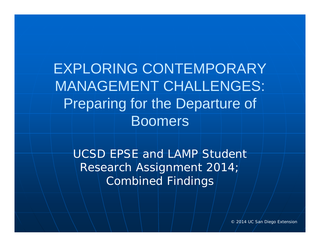EXPLORING CONTEMPORARY MANAGEMENT CHALLENGES: Preparing for the Departure of Boomers

UCSD EPSE and LAMP Student Research Assignment 2014; Combined Findings

© 2014 UC San Diego Extension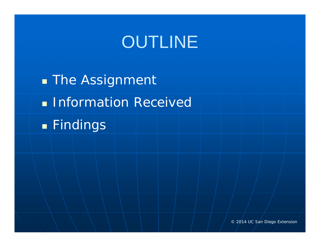# OUTLINE

**The Assignment Information Received** Findings

© 2014 UC San Diego Extension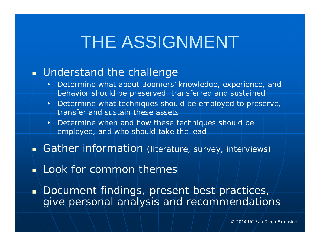# THE ASSIGNMENT

### **Understand the challenge**

- • Determine what about Boomers' knowledge, experience, and behavior should be preserved, transferred and sustained
- • Determine what techniques should be employed to preserve, transfer and sustain these assets
- • Determine when and how these techniques should be employed, and who should take the lead
- **Gather information** (literature, survey, interviews)
- **Look for common themes**
- $\blacksquare$ Document findings, present best practices,  $\overline{\phantom{a}}$ give personal analysis and recommendations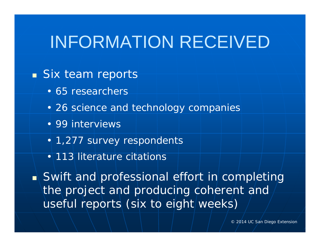### INFORMATION RECEIVED

### **Six team reports**

- 65 researchers
- 26 science and technology companies
- 99 interviews
- 1,277 survey respondents
- 113 literature citations

**Swift and professional effort in completing** the project and producing coherent and useful reports (six to eight weeks)

© 2014 UC San Diego Extension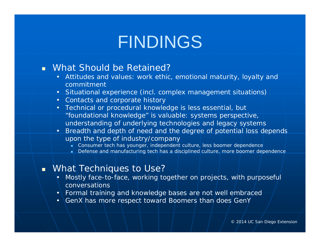# FINDINGS

### What Should be Retained?

- Attitudes and values: work ethic, emotional maturity, loyalty and commitment
- Situational experience (incl. complex management situations)
- Contacts and corporate history
- Technical or procedural knowledge is less essential, but "foundational knowledge" is valuable: systems perspective, understanding of *underlying* technologies and legacy systems
- Breadth and depth of need and the degree of potential loss depends upon the type of industry/company
	- Г Consumer tech has younger, independent culture, less boomer dependence
	- г Defense and manufacturing tech has a disciplined culture, more boomer dependence

#### What Techniques to Use?

- Mostly face-to-face, working together on projects, with purposeful conversations
- Formal training and knowledge bases are not well embraced
- GenX has more respect toward Boomers than does GenY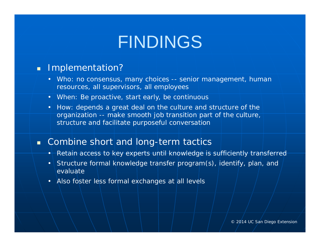# FINDINGS

#### **Implementation?**

- Who: no consensus, many choices -- senior management, human resources, all supervisors, all employees
- When: Be proactive, start early, be continuous
- How: depends a great deal on the culture and structure of the organization -- make smooth job transition part of the culture, structure and facilitate purposeful conversation

#### **E** Combine short and long-term tactics

- Retain access to key experts until knowledge is sufficiently transferred
- Structure formal knowledge transfer program(s), identify, plan, and evaluate
- Also foster less formal exchanges at all levels